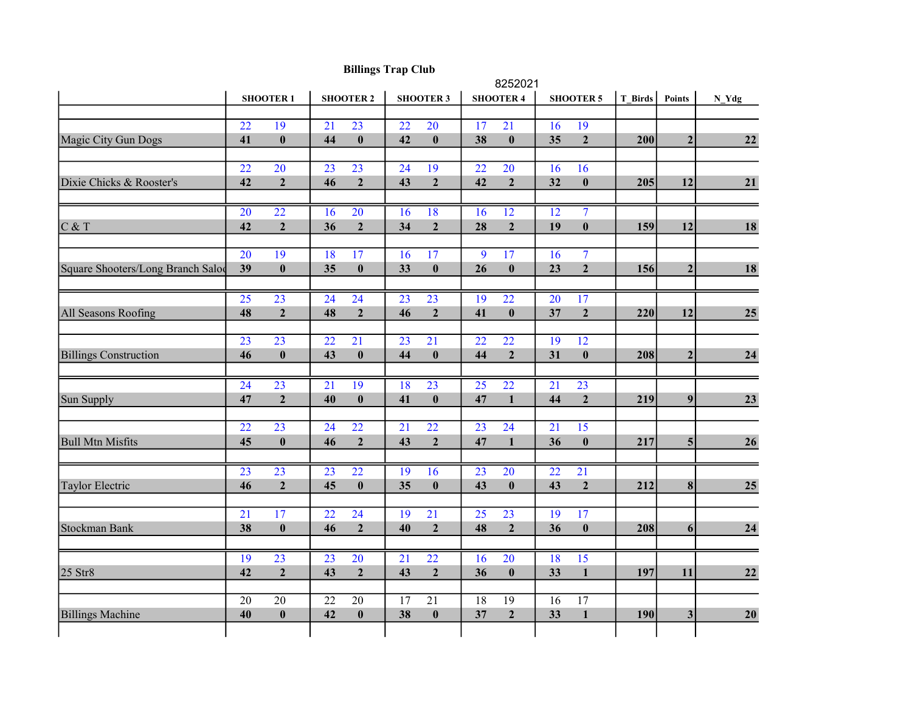|                                   |                 |                  | 8252021          |                  |                  |                  |                  |                  |                  |                  |         |                |         |  |
|-----------------------------------|-----------------|------------------|------------------|------------------|------------------|------------------|------------------|------------------|------------------|------------------|---------|----------------|---------|--|
|                                   | <b>SHOOTER1</b> |                  | <b>SHOOTER 2</b> |                  | <b>SHOOTER 3</b> |                  | <b>SHOOTER 4</b> |                  | <b>SHOOTER 5</b> |                  | T Birds | Points         | $N_Ydg$ |  |
|                                   |                 |                  |                  |                  |                  |                  |                  |                  |                  |                  |         |                |         |  |
|                                   | 22              | 19               | 21               | 23               | 22               | 20               | 17               | 21               | 16               | 19               |         |                |         |  |
| Magic City Gun Dogs               | 41              | $\pmb{0}$        | 44               | $\boldsymbol{0}$ | 42               | $\pmb{0}$        | 38               | $\pmb{0}$        | 35               | $\mathbf{2}$     | 200     | $\mathbf{2}$   | 22      |  |
|                                   |                 |                  |                  |                  |                  |                  |                  |                  |                  |                  |         |                |         |  |
|                                   | 22              | 20               | 23               | 23               | 24               | 19               | 22               | 20               | 16               | 16               |         |                |         |  |
| Dixie Chicks & Rooster's          | 42              | $\overline{2}$   | 46               | $\mathbf 2$      | 43               | $\boldsymbol{2}$ | 42               | $\mathbf 2$      | 32               | $\boldsymbol{0}$ | 205     | 12             | 21      |  |
|                                   |                 |                  |                  |                  |                  |                  |                  |                  |                  |                  |         |                |         |  |
|                                   | $\overline{20}$ | $\overline{22}$  | $\overline{16}$  | $\overline{20}$  | $\overline{16}$  | 18               | $\overline{16}$  | $\overline{12}$  | $\overline{12}$  | $\overline{7}$   |         |                |         |  |
| $C$ & T                           | 42              | $\overline{2}$   | 36               | $\overline{2}$   | 34               | $\overline{2}$   | 28               | $\overline{2}$   | 19               | $\bf{0}$         | 159     | 12             | 18      |  |
|                                   |                 |                  |                  |                  |                  |                  |                  |                  |                  |                  |         |                |         |  |
|                                   | $\overline{20}$ | 19               | 18               | 17               | 16               | 17               | 9                | 17               | 16               | $\overline{7}$   |         |                |         |  |
| Square Shooters/Long Branch Salod | 39              | $\bf{0}$         | 35               | $\boldsymbol{0}$ | 33               | $\pmb{0}$        | 26               | $\pmb{0}$        | 23               | $\boldsymbol{2}$ | 156     | $\mathbf{2}$   | 18      |  |
|                                   |                 |                  |                  |                  |                  |                  |                  |                  |                  |                  |         |                |         |  |
|                                   | $\overline{25}$ | $\overline{23}$  | $\overline{24}$  | $\overline{24}$  | $\overline{23}$  | $\overline{23}$  | $\overline{19}$  | $\overline{22}$  | 20               | $\overline{17}$  |         |                |         |  |
| All Seasons Roofing               | 48              | $\overline{2}$   | 48               | $\boldsymbol{2}$ | 46               | $\boldsymbol{2}$ | 41               | $\pmb{0}$        | 37               | $\overline{2}$   | 220     | 12             | 25      |  |
|                                   |                 |                  |                  |                  |                  |                  |                  |                  |                  |                  |         |                |         |  |
|                                   | $\overline{23}$ | $\overline{23}$  | $\overline{22}$  | $\overline{21}$  | $\overline{23}$  | $\overline{21}$  | $\overline{22}$  | $\overline{22}$  | $\overline{19}$  | 12               |         |                |         |  |
| <b>Billings Construction</b>      | 46              | $\bf{0}$         | 43               | $\boldsymbol{0}$ | 44               | $\boldsymbol{0}$ | 44               | $\overline{2}$   | 31               | $\bf{0}$         | 208     | $\mathbf{2}$   | 24      |  |
|                                   |                 |                  |                  |                  |                  |                  |                  |                  |                  |                  |         |                |         |  |
|                                   | 24              | 23               | 21               | 19               | 18               | 23               | 25               | 22               | 21               | 23               |         |                |         |  |
| Sun Supply                        | 47              | $\overline{2}$   | 40               | $\boldsymbol{0}$ | 41               | $\boldsymbol{0}$ | 47               | $\mathbf{1}$     | 44               | $\overline{2}$   | 219     | 9              | 23      |  |
|                                   |                 |                  |                  |                  |                  |                  |                  |                  |                  |                  |         |                |         |  |
|                                   | 22              | 23               | 24               | 22               | 21               | 22               | 23               | 24               | 21               | 15               |         |                |         |  |
| <b>Bull Mtn Misfits</b>           | 45              | $\bf{0}$         | 46               | $\mathbf 2$      | 43               | $\mathbf{2}$     | 47               | $\mathbf{1}$     | 36               | $\pmb{0}$        | 217     | 5 <sup>1</sup> | 26      |  |
|                                   |                 |                  |                  |                  |                  |                  |                  |                  |                  |                  |         |                |         |  |
|                                   | $\overline{23}$ | $\overline{23}$  | $\overline{23}$  | $\overline{22}$  | 19               | 16               | $\overline{23}$  | $\overline{20}$  | $\overline{22}$  | $\overline{21}$  |         |                |         |  |
| Taylor Electric                   | 46              | $\overline{2}$   | 45               | $\boldsymbol{0}$ | 35               | $\boldsymbol{0}$ | 43               | $\bf{0}$         | 43               | $\overline{2}$   | 212     | $\bf{8}$       | 25      |  |
|                                   |                 |                  |                  |                  |                  |                  |                  |                  |                  |                  |         |                |         |  |
|                                   | $\overline{21}$ | 17               | $\overline{22}$  | 24               | 19               | $\overline{21}$  | $\overline{25}$  | 23               | 19               | 17               |         |                |         |  |
| Stockman Bank                     | 38              | $\boldsymbol{0}$ | 46               | $\boldsymbol{2}$ | 40               | $\boldsymbol{2}$ | 48               | $\boldsymbol{2}$ | 36               | $\bf{0}$         | 208     | 6 <sup>1</sup> | 24      |  |
|                                   |                 |                  |                  |                  |                  |                  |                  |                  |                  |                  |         |                |         |  |
|                                   | 19              | 23               | $\overline{23}$  | 20               | $\overline{21}$  | 22               | 16               | 20               | 18               | 15               |         |                |         |  |
| $25$ Str $8$                      | 42              | $\overline{2}$   | 43               | $\mathbf 2$      | 43               | $\mathbf 2$      | 36               | $\pmb{0}$        | 33               | $\mathbf{1}$     | 197     | 11             | 22      |  |
|                                   |                 |                  |                  |                  |                  |                  |                  |                  |                  |                  |         |                |         |  |
|                                   | 20              | $\overline{20}$  | 22               | 20               | 17               | $\overline{21}$  | 18               | 19               | $\overline{16}$  | 17               |         |                |         |  |
| <b>Billings Machine</b>           | 40              | $\pmb{0}$        | 42               | $\boldsymbol{0}$ | 38               | $\pmb{0}$        | 37               | $\mathbf 2$      | 33               | $\mathbf{1}$     | 190     | $\mathbf{3}$   | 20      |  |
|                                   |                 |                  |                  |                  |                  |                  |                  |                  |                  |                  |         |                |         |  |
|                                   |                 |                  |                  |                  |                  |                  |                  |                  |                  |                  |         |                |         |  |

## Billings Trap Club